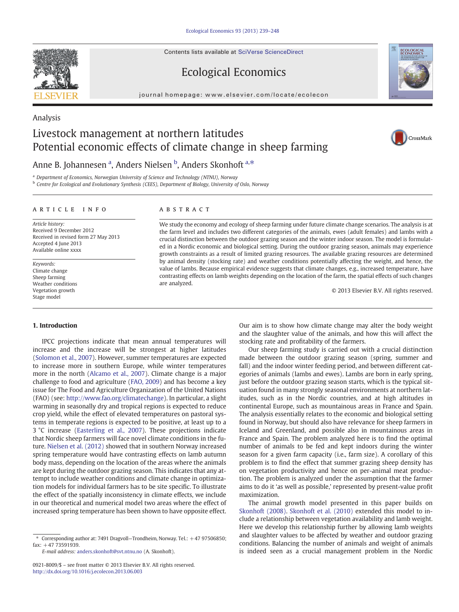Contents lists available at SciVerse ScienceDirect

## Ecological Economics

journal homepage: www.elsevier.com/locate/ecolecon

# Livestock management at northern latitudes Potential economic effects of climate change in sheep farming

Anne B. Johannesen <sup>a</sup>, Anders Nielsen <sup>b</sup>, Anders Skonhoft <sup>a,\*</sup>

<sup>a</sup> Department of Economics, Norwegian University of Science and Technology (NTNU), Norway

<sup>b</sup> Centre for Ecological and Evolutionary Synthesis (CEES), Department of Biology, University of Oslo, Norway

#### article info abstract

Article history: Received 9 December 2012 Received in revised form 27 May 2013 Accepted 4 June 2013 Available online xxxx

Keywords: Climate change Sheep farming Weather conditions Vegetation growth Stage model

We study the economy and ecology of sheep farming under future climate change scenarios. The analysis is at the farm level and includes two different categories of the animals, ewes (adult females) and lambs with a crucial distinction between the outdoor grazing season and the winter indoor season. The model is formulated in a Nordic economic and biological setting. During the outdoor grazing season, animals may experience growth constraints as a result of limited grazing resources. The available grazing resources are determined by animal density (stocking rate) and weather conditions potentially affecting the weight, and hence, the value of lambs. Because empirical evidence suggests that climate changes, e.g., increased temperature, have contrasting effects on lamb weights depending on the location of the farm, the spatial effects of such changes are analyzed.

© 2013 Elsevier B.V. All rights reserved.

### 1. Introduction

IPCC projections indicate that mean annual temperatures will increase and the increase will be strongest at higher latitudes [\(Solomon et al., 2007\)](#page-9-0). However, summer temperatures are expected to increase more in southern Europe, while winter temperatures more in the north ([Alcamo et al., 2007](#page-9-0)). Climate change is a major challenge to food and agriculture ([FAO, 2009\)](#page-9-0) and has become a key issue for The Food and Agriculture Organization of the United Nations (FAO) (see: <http://www.fao.org/climatechange>). In particular, a slight warming in seasonally dry and tropical regions is expected to reduce crop yield, while the effect of elevated temperatures on pastoral systems in temperate regions is expected to be positive, at least up to a 3 °C increase ([Easterling et al., 2007](#page-9-0)). These projections indicate that Nordic sheep farmers will face novel climate conditions in the future. [Nielsen et al. \(2012\)](#page-9-0) showed that in southern Norway increased spring temperature would have contrasting effects on lamb autumn body mass, depending on the location of the areas where the animals are kept during the outdoor grazing season. This indicates that any attempt to include weather conditions and climate change in optimization models for individual farmers has to be site specific. To illustrate the effect of the spatially inconsistency in climate effects, we include in our theoretical and numerical model two areas where the effect of increased spring temperature has been shown to have opposite effect.

⁎ Corresponding author at: 7491 Dragvoll—Trondheim, Norway. Tel.: +47 97506850; fax: +47 73591939.

E-mail address: [anders.skonhoft@svt.ntnu.no](mailto:anders.skonhoft@svt.ntnu.no) (A. Skonhoft).

Our aim is to show how climate change may alter the body weight and the slaughter value of the animals, and how this will affect the stocking rate and profitability of the farmers.

Our sheep farming study is carried out with a crucial distinction made between the outdoor grazing season (spring, summer and fall) and the indoor winter feeding period, and between different categories of animals (lambs and ewes). Lambs are born in early spring, just before the outdoor grazing season starts, which is the typical situation found in many strongly seasonal environments at northern latitudes, such as in the Nordic countries, and at high altitudes in continental Europe, such as mountainous areas in France and Spain. The analysis essentially relates to the economic and biological setting found in Norway, but should also have relevance for sheep farmers in Iceland and Greenland, and possible also in mountainous areas in France and Spain. The problem analyzed here is to find the optimal number of animals to be fed and kept indoors during the winter season for a given farm capacity (i.e., farm size). A corollary of this problem is to find the effect that summer grazing sheep density has on vegetation productivity and hence on per-animal meat production. The problem is analyzed under the assumption that the farmer aims to do it 'as well as possible,' represented by present-value profit maximization.

The animal growth model presented in this paper builds on [Skonhoft \(2008\)](#page-9-0). [Skonhoft et al. \(2010\)](#page-9-0) extended this model to include a relationship between vegetation availability and lamb weight. Here we develop this relationship further by allowing lamb weights and slaughter values to be affected by weather and outdoor grazing conditions. Balancing the number of animals and weight of animals is indeed seen as a crucial management problem in the Nordic



Analysis



CrossMark

<sup>0921-8009/\$</sup> – see front matter © 2013 Elsevier B.V. All rights reserved. <http://dx.doi.org/10.1016/j.ecolecon.2013.06.003>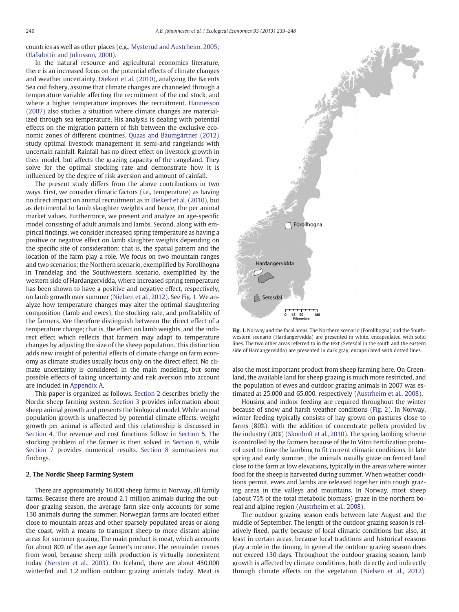<span id="page-1-0"></span>countries as well as other places (e.g., [Mysterud and Austrheim, 2005;](#page-9-0) [Olafsdottir and Juliusson, 2000\)](#page-9-0).

In the natural resource and agricultural economics literature, there is an increased focus on the potential effects of climate changes and weather uncertainty. [Diekert et al. \(2010\)](#page-9-0), analyzing the Barents Sea cod fishery, assume that climate changes are channeled through a temperature variable affecting the recruitment of the cod stock, and where a higher temperature improves the recruitment. [Hannesson](#page-9-0) [\(2007\)](#page-9-0) also studies a situation where climate changes are materialized through sea temperature. His analysis is dealing with potential effects on the migration pattern of fish between the exclusive economic zones of different countries. [Quaas and Baumgärtner \(2012\)](#page-9-0) study optimal livestock management in semi-arid rangelands with uncertain rainfall. Rainfall has no direct effect on livestock growth in their model, but affects the grazing capacity of the rangeland. They solve for the optimal stocking rate and demonstrate how it is influenced by the degree of risk aversion and amount of rainfall.

The present study differs from the above contributions in two ways. First, we consider climatic factors (i.e., temperature) as having no direct impact on animal recruitment as in [Diekert et al. \(2010\),](#page-9-0) but as detrimental to lamb slaughter weights and hence, the per animal market values. Furthermore, we present and analyze an age-specific model consisting of adult animals and lambs. Second, along with empirical findings, we consider increased spring temperature as having a positive or negative effect on lamb slaughter weights depending on the specific site of consideration; that is, the spatial pattern and the location of the farm play a role. We focus on two mountain ranges and two scenarios; the Northern scenario, exemplified by Forollhogna in Trøndelag and the Southwestern scenario, exemplified by the western side of Hardangervidda, where increased spring temperature has been shown to have a positive and negative effect, respectively, on lamb growth over summer ([Nielsen et al., 2012\)](#page-9-0). See Fig. 1. We analyze how temperature changes may alter the optimal slaughtering composition (lamb and ewes), the stocking rate, and profitability of the farmers. We therefore distinguish between the direct effect of a temperature change; that is, the effect on lamb weights, and the indirect effect which reflects that farmers may adapt to temperature changes by adjusting the size of the sheep population. This distinction adds new insight of potential effects of climate change on farm economy as climate studies usually focus only on the direct effect. No climate uncertainty is considered in the main modeling, but some possible effects of taking uncertainty and risk aversion into account are included in [Appendix A.](#page-8-0)

This paper is organized as follows. Section 2 describes briefly the Nordic sheep farming system. [Section 3](#page-2-0) provides information about sheep animal growth and presents the biological model. While animal population growth is unaffected by potential climate effects, weight growth per animal is affected and this relationship is discussed in [Section 4](#page-2-0). The revenue and cost functions follow in [Section 5](#page-3-0). The stocking problem of the farmer is then solved in [Section 6,](#page-3-0) while [Section 7](#page-4-0) provides numerical results. [Section 8](#page-7-0) summarizes our findings.

#### 2. The Nordic Sheep Farming System

There are approximately 16,000 sheep farms in Norway, all family farms. Because there are around 2.1 million animals during the outdoor grazing season, the average farm size only accounts for some 130 animals during the summer. Norwegian farms are located either close to mountain areas and other sparsely populated areas or along the coast, with a means to transport sheep to more distant alpine areas for summer grazing. The main product is meat, which accounts for about 80% of the average farmer's income. The remainder comes from wool, because sheep milk production is virtually nonexistent today ([Nersten et al., 2003](#page-9-0)). On Iceland, there are about 450,000 winterfed and 1.2 million outdoor grazing animals today. Meat is



Fig. 1. Norway and the focal areas. The Northern scenario (Forollhogna) and the Southwestern scenario (Hardangervidda) are presented in white, encapsulated with solid lines. The two other areas referred to in the text (Setesdal in the south and the eastern side of Hardangervidda) are presented in dark gray, encapsulated with dotted lines.

also the most important product from sheep farming here. On Greenland, the available land for sheep grazing is much more restricted, and the population of ewes and outdoor grazing animals in 2007 was estimated at 25,000 and 65,000, respectively [\(Austrheim et al., 2008\)](#page-9-0).

Housing and indoor feeding are required throughout the winter because of snow and harsh weather conditions ([Fig. 2\)](#page-2-0). In Norway, winter feeding typically consists of hay grown on pastures close to farms (80%), with the addition of concentrate pellets provided by the industry (20%) ([Skonhoft et al., 2010](#page-9-0)). The spring lambing scheme is controlled by the farmers because of the In Vitro Fertilization protocol used to time the lambing to fit current climatic conditions. In late spring and early summer, the animals usually graze on fenced land close to the farm at low elevations, typically in the areas where winter food for the sheep is harvested during summer. When weather conditions permit, ewes and lambs are released together into rough grazing areas in the valleys and mountains. In Norway, most sheep (about 75% of the total metabolic biomass) graze in the northern boreal and alpine region ([Austrheim et al., 2008](#page-9-0)).

The outdoor grazing season ends between late August and the middle of September. The length of the outdoor grazing season is relatively fixed, partly because of local climatic conditions but also, at least in certain areas, because local traditions and historical reasons play a role in the timing. In general the outdoor grazing season does not exceed 130 days. Throughout the outdoor grazing season, lamb growth is affected by climate conditions, both directly and indirectly through climate effects on the vegetation ([Nielsen et al., 2012](#page-9-0)).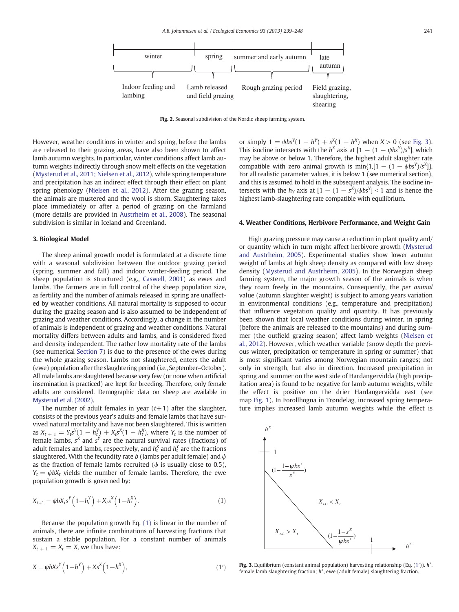<span id="page-2-0"></span>

Fig. 2. Seasonal subdivision of the Nordic sheep farming system.

However, weather conditions in winter and spring, before the lambs are released to their grazing areas, have also been shown to affect lamb autumn weights. In particular, winter conditions affect lamb autumn weights indirectly through snow melt effects on the vegetation [\(Mysterud et al., 2011; Nielsen et al., 2012](#page-9-0)), while spring temperature and precipitation has an indirect effect through their effect on plant spring phenology [\(Nielsen et al., 2012](#page-9-0)). After the grazing season, the animals are mustered and the wool is shorn. Slaughtering takes place immediately or after a period of grazing on the farmland (more details are provided in [Austrheim et al., 2008](#page-9-0)). The seasonal subdivision is similar in Iceland and Greenland.

#### 3. Biological Model

The sheep animal growth model is formulated at a discrete time with a seasonal subdivision between the outdoor grazing period (spring, summer and fall) and indoor winter-feeding period. The sheep population is structured (e.g., [Caswell, 2001\)](#page-9-0) as ewes and lambs. The farmers are in full control of the sheep population size, as fertility and the number of animals released in spring are unaffected by weather conditions. All natural mortality is supposed to occur during the grazing season and is also assumed to be independent of grazing and weather conditions. Accordingly, a change in the number of animals is independent of grazing and weather conditions. Natural mortality differs between adults and lambs, and is considered fixed and density independent. The rather low mortality rate of the lambs (see numerical [Section 7\)](#page-4-0) is due to the presence of the ewes during the whole grazing season. Lambs not slaughtered, enters the adult (ewe) population after the slaughtering period (i.e., September–October). All male lambs are slaughtered because very few (or none when artificial insemination is practiced) are kept for breeding. Therefore, only female adults are considered. Demographic data on sheep are available in [Mysterud et al. \(2002\).](#page-9-0)

The number of adult females in year  $(t+1)$  after the slaughter, consists of the previous year's adults and female lambs that have survived natural mortality and have not been slaughtered. This is written as  $X_{t+1} = Y_t s^{Y}(1-h_t^{Y}) + X_t s^{X}(1-h_t^{X})$ , where  $Y_t$  is the number of female lambs,  $s^X$  and  $s^Y$  are the natural survival rates (fractions) of adult females and lambs, respectively, and  $h_t^X$  and  $h_t^Y$  are the fractions slaughtered. With the fecundity rate b (lambs per adult female) and  $\psi$ as the fraction of female lambs recruited ( $\psi$  is usually close to 0.5),  $Y_t = \psi b X_t$  yields the number of female lambs. Therefore, the ewe population growth is governed by:

$$
X_{t+1} = \psi b X_t s^Y \left( 1 - h_t^Y \right) + X_t s^X \left( 1 - h_t^X \right).
$$
 (1)

Because the population growth Eq. (1) is linear in the number of animals, there are infinite combinations of harvesting fractions that sustain a stable population. For a constant number of animals  $X_{t+1} = X_t = X$ , we thus have:

$$
X = \psi bXs^{Y} \left(1 - h^{Y}\right) + Xs^{X} \left(1 - h^{X}\right),\tag{1'}
$$

or simply  $1 = \psi bs^{Y} (1 - h^{Y}) + s^{X} (1 - h^{X})$  when  $X > 0$  (see Fig. 3). This isocline intersects with the  $h^X$  axis at  $[1 - (1 - \psi b s^Y)/s^X]$ , which may be above or below 1. Therefore, the highest adult slaughter rate compatible with zero animal growth is  $min\{1,[1-(1-\psi bs<sup>Y</sup>)/s<sup>X</sup>]\}$ . For all realistic parameter values, it is below 1 (see numerical section), and this is assumed to hold in the subsequent analysis. The isocline intersects with the  $h_Y$  axis at  $[1 - (1 - s^X)/\psi bs^Y] < 1$  and is hence the highest lamb-slaughtering rate compatible with equilibrium.

#### 4. Weather Conditions, Herbivore Performance, and Weight Gain

High grazing pressure may cause a reduction in plant quality and/ or quantity which in turn might affect herbivore growth ([Mysterud](#page-9-0) [and Austrheim, 2005\)](#page-9-0). Experimental studies show lower autumn weight of lambs at high sheep density as compared with low sheep density [\(Mysterud and Austrheim, 2005\)](#page-9-0). In the Norwegian sheep farming system, the major growth season of the animals is when they roam freely in the mountains. Consequently, the per animal value (autumn slaughter weight) is subject to among years variation in environmental conditions (e.g., temperature and precipitation) that influence vegetation quality and quantity. It has previously been shown that local weather conditions during winter, in spring (before the animals are released to the mountains) and during summer (the outfield grazing season) affect lamb weights ([Nielsen et](#page-9-0) [al., 2012](#page-9-0)). However, which weather variable (snow depth the previous winter, precipitation or temperature in spring or summer) that is most significant varies among Norwegian mountain ranges; not only in strength, but also in direction. Increased precipitation in spring and summer on the west side of Hardangervidda (high precipitation area) is found to be negative for lamb autumn weights, while the effect is positive on the drier Hardangervidda east (see map [Fig. 1](#page-1-0)). In Forollhogna in Trøndelag, increased spring temperature implies increased lamb autumn weights while the effect is



**Fig. 3.** Equilibrium (constant animal population) harvesting relationship (Eq. (1')).  $h<sup>Y</sup>$ female lamb slaughtering fraction;  $h^X$ , ewe (adult female) slaughtering fraction.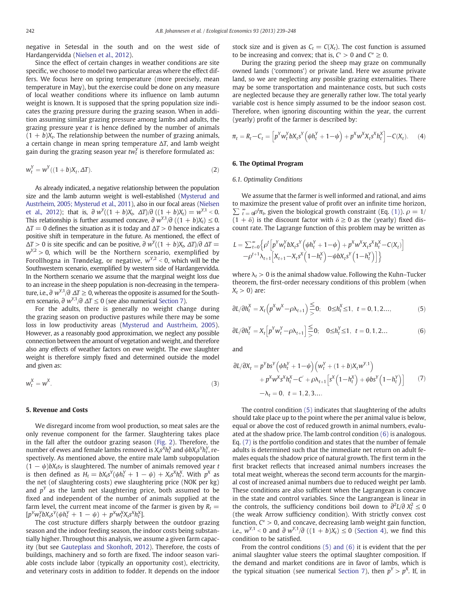<span id="page-3-0"></span>negative in Setesdal in the south and on the west side of Hardangervidda [\(Nielsen et al., 2012\)](#page-9-0).

Since the effect of certain changes in weather conditions are site specific, we choose to model two particular areas where the effect differs. We focus here on spring temperature (more precisely, mean temperature in May), but the exercise could be done on any measure of local weather conditions where its influence on lamb autumn weight is known. It is supposed that the spring population size indicates the grazing pressure during the grazing season. When in addition assuming similar grazing pressure among lambs and adults, the grazing pressure year  $t$  is hence defined by the number of animals  $(1 + b)X_t$ . The relationship between the number of grazing animals, a certain change in mean spring temperature ΔT, and lamb weight gain during the grazing season year  $\mathit{tw}^Y_t$  is therefore formulated as:

$$
w_t^Y = w^Y((1+b)X_t, \Delta T). \tag{2}
$$

As already indicated, a negative relationship between the population size and the lamb autumn weight is well-established ([Mysterud and](#page-9-0) [Austrheim, 2005; Mysterud et al., 2011](#page-9-0)), also in our focal areas [\(Nielsen](#page-9-0) [et al., 2012](#page-9-0)); that is,  $\partial w^{Y}((1 + b)X_t, \Delta T)/\partial ((1 + b)X_t) = w^{Y,1} < 0.$ This relationship is further assumed concave,  $\frac{\partial w^{Y,1}}{\partial}$  ((1 + b)X<sub>t</sub>) ≤ 0.  $\Delta T = 0$  defines the situation as it is today and  $\Delta T > 0$  hence indicates a positive shift in temperature in the future. As mentioned, the effect of  $\Delta T > 0$  is site specific and can be positive,  $\partial w^{Y}((1 + b)X_{t}, \Delta T)/\partial \Delta T =$  $w^{Y,2} > 0$ , which will be the Northern scenario, exemplified by Forollhogna in Trøndelag, or negative,  $w^{Y,2} < 0$ , which will be the Southwestern scenario, exemplified by western side of Hardangervidda. In the Northern scenario we assume that the marginal weight loss due to an increase in the sheep population is non-decreasing in the temperature, i.e.,  $\partial w^{Y,1}/\partial \Delta T \geq 0$ , whereas the opposite is assumed for the Southern scenario,  $\partial w^{Y,1}/\partial \Delta T \leq 0$  (see also numerical [Section 7\)](#page-4-0).

For the adults, there is generally no weight change during the grazing season on productive pastures while there may be some loss in low productivity areas ([Mysterud and Austrheim, 2005](#page-9-0)). However, as a reasonably good approximation, we neglect any possible connection between the amount of vegetation and weight, and therefore also any effects of weather factors on ewe weight. The ewe slaughter weight is therefore simply fixed and determined outside the model and given as:

$$
w_t^X = w^X. \tag{3}
$$

#### 5. Revenue and Costs

We disregard income from wool production, so meat sales are the only revenue component for the farmer. Slaughtering takes place in the fall after the outdoor grazing season ([Fig. 2\)](#page-2-0). Therefore, the number of ewes and female lambs removed is  $X_t s^X h_t^X$  and  $\psi b X_t s^Y h_t^Y$ , respectively. As mentioned above, the entire male lamb subpopulation  $(1 - \psi)bX_t s_Y$  is slaughtered. The number of animals removed year t is then defined as  $H_t = bX_t s^Y(\psi h_t^Y + 1 - \psi) + X_t s^X h_t^X$ . With  $p^X$  as the net (of slaughtering costs) ewe slaughtering price (NOK per kg) and  $p<sup>Y</sup>$  as the lamb net slaughtering price, both assumed to be fixed and independent of the number of animals supplied at the farm level, the current meat income of the farmer is given by  $R_t =$  $[p^{Y}w_{t}^{Y}bX_{t}s^{Y}(\psi h_{t}^{Y} + 1 - \psi) + p^{X}w_{t}^{X}X_{t}s^{X}h_{t}^{X}].$ 

The cost structure differs sharply between the outdoor grazing season and the indoor feeding season, the indoor costs being substantially higher. Throughout this analysis, we assume a given farm capacity (but see [Gauteplass and Skonhoft, 2012\)](#page-9-0). Therefore, the costs of buildings, machinery and so forth are fixed. The indoor season variable costs include labor (typically an opportunity cost), electricity, and veterinary costs in addition to fodder. It depends on the indoor

stock size and is given as  $C_t = C(X_t)$ . The cost function is assumed to be increasing and convex; that is,  $C' > 0$  and  $C'' \ge 0$ .

During the grazing period the sheep may graze on communally owned lands ('commons') or private land. Here we assume private land, so we are neglecting any possible grazing externalities. There may be some transportation and maintenance costs, but such costs are neglected because they are generally rather low. The total yearly variable cost is hence simply assumed to be the indoor season cost. Therefore, when ignoring discounting within the year, the current (yearly) profit of the farmer is described by:

$$
\pi_t = R_t - C_t = \left[ p^Y w_t^Y b X_t s^Y \left( \psi h_t^Y + 1 - \psi \right) + p^X w^X X_t s^X h_t^X \right] - C(X_t). \tag{4}
$$

#### 6. The Optimal Program

#### 6.1. Optimality Conditions

We assume that the farmer is well informed and rational, and aims to maximize the present value of profit over an infinite time horizon,  $\sum_{t=0}^{\infty} \rho^t \pi_t$ , given the biological growth constraint (Eq. [\(1\)](#page-2-0)).  $\rho = 1/\sqrt{2}$  $(1 + \delta)$  is the discount factor with  $\delta \ge 0$  as the (yearly) fixed discount rate. The Lagrange function of this problem may be written as

$$
L = \sum_{t=0}^{\infty} \left\{ \rho^t \left[ p^Y w_t^Y b X_t s^Y \left( \psi h_t^Y + 1 - \psi \right) + p^X w^X X_t s^X h_t^X - C(X_t) \right] - \rho^{t+1} \lambda_{t+1} \left[ X_{t+1} - X_t s^X \left( 1 - h_t^X \right) - \psi b X_t s^Y \left( 1 - h_t^Y \right) \right] \right\}
$$

where  $\lambda_t > 0$  is the animal shadow value. Following the Kuhn–Tucker theorem, the first-order necessary conditions of this problem (when  $X_t > 0$ ) are:

$$
\partial L/\partial h_t^X = X_t \left( p^X w^X - \rho \lambda_{t+1} \right) \leq 0; \quad 0 \leq h_t^X \leq 1, \ t = 0, 1, 2..., \tag{5}
$$

$$
\partial L/\partial h_t^Y = X_t \left[ p^Y w_t^Y - \rho \lambda_{t+1} \right] \leq 0; \quad 0 \leq h_t^Y \leq 1, \ t = 0, 1, 2... \tag{6}
$$

and

$$
\partial L/\partial X_t = p^Y b s^Y \left( \psi h_t^Y + 1 - \psi \right) \left( w_t^Y + (1 + b) X_t w^{Y,1} \right) + p^X w^X s^X h_t^X - C' + \rho \lambda_{t+1} \left[ s^X \left( 1 - h_t^X \right) + \psi b s^Y \left( 1 - h_t^Y \right) \right]
$$
(7)  
- \lambda\_t = 0, t = 1, 2, 3....

The control condition (5) indicates that slaughtering of the adults should take place up to the point where the per animal value is below, equal or above the cost of reduced growth in animal numbers, evaluated at the shadow price. The lamb control condition (6) is analogous. Eq. (7) is the portfolio condition and states that the number of female adults is determined such that the immediate net return on adult females equals the shadow price of natural growth. The first term in the first bracket reflects that increased animal numbers increases the total meat weight, whereas the second term accounts for the marginal cost of increased animal numbers due to reduced weight per lamb. These conditions are also sufficient when the Lagrangean is concave in the state and control variables. Since the Langrangean is linear in the controls, the sufficiency conditions boil down to  $\partial^2 L / \partial X_t^2 \leq 0$ (the weak Arrow sufficiency condition). With strictly convex cost function,  $C'' > 0$ , and concave, decreasing lamb weight gain function, i.e.,  $w^{Y,1} < 0$  and  $\partial w^{Y,1}/\partial ((1 + b)X_t) \le 0$  ([Section 4](#page-2-0)), we find this condition to be satisfied.

From the control conditions (5) and (6) it is evident that the per animal slaughter value steers the optimal slaughter composition. If the demand and market conditions are in favor of lambs, which is the typical situation (see numerical [Section 7\)](#page-4-0), then  $p^{Y} > p^{X}$ . If, in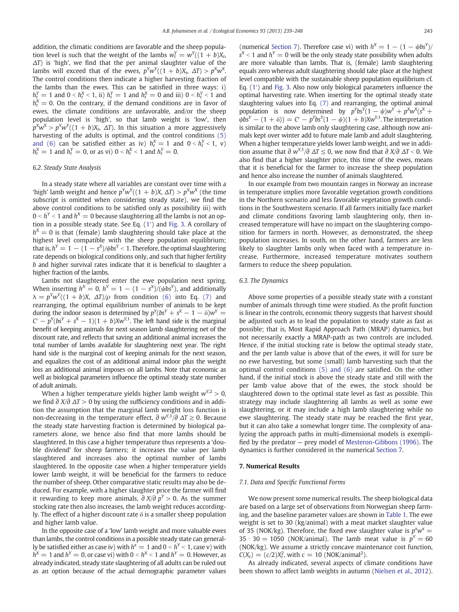<span id="page-4-0"></span>addition, the climatic conditions are favorable and the sheep population level is such that the weight of the lambs  $w_t^Y = w^Y((1 + b)X_t,$  $\Delta T$ ) is 'high', we find that the per animal slaughter value of the lambs will exceed that of the ewes,  $p^{Y}w^{Y}((1 + b)X_t, \Delta T) > p^{X}w^{X}$ . The control conditions then indicate a higher harvesting fraction of the lambs than the ewes. This can be satisfied in three ways: i)  $h_t^Y = 1$  and  $0 < h_t^X < 1$ , ii)  $h_t^Y = 1$  and  $h_t^X = 0$  and iii)  $0 < h_t^Y < 1$  and  $h_t^X=0$ . On the contrary, if the demand conditions are in favor of ewes, the climate conditions are unfavorable, and/or the sheep population level is 'high', so that lamb weight is 'low', then  $p^{X}w^{X} > p^{Y}w^{Y}((1 + b)X_{t}, \Delta T)$ . In this situation a more aggressively harvesting of the adults is optimal, and the control conditions [\(5\)](#page-3-0) [and \(6\)](#page-3-0) can be satisfied either as iv)  $h_t^X = 1$  and  $0 < h_t^Y < 1$ , v)  $h_t^X = 1$  and  $h_t^Y = 0$ , or as vi)  $0 < h_t^X < 1$  and  $h_t^Y = 0$ .

#### 6.2. Steady State Analysis

In a steady state where all variables are constant over time with a 'high' lamb weight and hence  $p^{Y}w^{Y}((1 + b)X, \Delta T) > p^{X}w^{X}$  (the time subscript is omitted when considering steady state), we find the above control conditions to be satisfied only as possibility iii) with  $0 < h<sup>Y</sup> < 1$  and  $h<sup>X</sup> = 0$  because slaughtering all the lambs is not an option in a possible steady state. See Eq. ([1](#page-2-0)′) and [Fig. 3](#page-2-0). A corollary of  $h^X = 0$  is that (female) lamb slaughtering should take place at the highest level compatible with the sheep population equilibrium; that is,  $h^{Y} = 1 - (1 - s^{X})/\psi b s^{Y} < 1.$  Therefore, the optimal slaughtering rate depends on biological conditions only, and such that higher fertility b and higher survival rates indicate that it is beneficial to slaughter a higher fraction of the lambs.

Lambs not slaughtered enter the ewe population next spring. When inserting  $h^X=0$ ,  $h^Y=1-(1-s^X)/(\psi bs^Y)$ , and additionally  $\lambda = p^Y w^Y((1 + b)X, \Delta T)/\rho$  from condition [\(6\)](#page-3-0) into Eq. [\(7\)](#page-3-0) and rearranging, the optimal equilibrium number of animals to be kept during the indoor season is determined by  $p^{Y}(bs^{Y} + s^{X} - 1 - \delta)w^{Y} =$  $C' - p<sup>Y</sup>(bs<sup>Y</sup> + s<sup>X</sup> - 1)(1 + b)Xw<sup>Y,1</sup>$ . The left hand side is the marginal benefit of keeping animals for next season lamb slaughtering net of the discount rate, and reflects that saving an additional animal increases the total number of lambs available for slaughtering next year. The right hand side is the marginal cost of keeping animals for the next season, and equalizes the cost of an additional animal indoor plus the weight loss an additional animal imposes on all lambs. Note that economic as well as biological parameters influence the optimal steady state number of adult animals.

When a higher temperature yields higher lamb weight  $w^{Y,2} > 0$ , we find  $\partial X/\partial \Delta T > 0$  by using the sufficiency conditions and in addition the assumption that the marginal lamb weight loss function is non-decreasing in the temperature effect,  $\frac{\partial w^{Y,1}}{\partial \Delta T} \geq 0$ . Because the steady state harvesting fraction is determined by biological parameters alone, we hence also find that more lambs should be slaughtered. In this case a higher temperature thus represents a 'double dividend' for sheep farmers; it increases the value per lamb slaughtered and increases also the optimal number of lambs slaughtered. In the opposite case when a higher temperature yields lower lamb weight, it will be beneficial for the farmers to reduce the number of sheep. Other comparative static results may also be deduced. For example, with a higher slaughter price the farmer will find it rewarding to keep more animals,  $\partial X/\partial p^Y > 0$ . As the summer stocking rate then also increases, the lamb weight reduces accordingly. The effect of a higher discount rate  $\delta$  is a smaller sheep population and higher lamb value.

In the opposite case of a 'low' lamb weight and more valuable ewes than lambs, the control conditions in a possible steady state can generally be satisfied either as case iv) with  $h^x = 1$  and  $0 \le h^Y \le 1$ , case v) with  $h^X = 1$  and  $h^Y = 0$ , or case vi) with  $0 \le h^X \le 1$  and  $h^Y = 0$ . However, as already indicated, steady state slaughtering of all adults can be ruled out as an option because of the actual demographic parameter values

(numerical Section 7). Therefore case vi) with  $h^X = 1 - (1 - \psi b s^Y)$  $s^X$  < 1 and  $h^Y = 0$  will be the only steady state possibility when adults are more valuable than lambs. That is, (female) lamb slaughtering equals zero whereas adult slaughtering should take place at the highest level compatible with the sustainable sheep population equilibrium cf. Eq. [\(1](#page-2-0)′) and [Fig. 3.](#page-2-0) Also now only biological parameters influence the optimal harvesting rate. When inserting for the optimal steady state slaughtering values into Eq. [\(7\)](#page-3-0) and rearranging, the optimal animal population is now determined by  $p^Y b s^Y (1 - \psi) w^Y + p^X w^X (s^X +$  $\psi b s^Y - (1+\delta)) = C' - p^Y b s^Y (1-\psi)(1+b) X w^{Y,1}.$  The interpretation is similar to the above lamb only slaughtering case, although now animals kept over winter add to future male lamb and adult slaughtering. When a higher temperature yields lower lamb weight, and we in addition assume that  $\frac{\partial w^{Y,1}}{\partial \Delta T} \leq 0$ , we now find that  $\frac{\partial X}{\partial \Delta T} < 0$ . We also find that a higher slaughter price, this time of the ewes, means that it is beneficial for the farmer to increase the sheep population and hence also increase the number of animals slaughtered.

In our example from two mountain ranges in Norway an increase in temperature implies more favorable vegetation growth conditions in the Northern scenario and less favorable vegetation growth conditions in the Southwestern scenario. If all farmers initially face market and climate conditions favoring lamb slaughtering only, then increased temperature will have no impact on the slaughtering composition for farmers in north. However, as demonstrated, the sheep population increases. In south, on the other hand, farmers are less likely to slaughter lambs only when faced with a temperature increase. Furthermore, increased temperature motivates southern farmers to reduce the sheep population.

#### 6.3. The Dynamics

Above some properties of a possible steady state with a constant number of animals through time were studied. As the profit function is linear in the controls, economic theory suggests that harvest should be adjusted such as to lead the population to steady state as fast as possible; that is, Most Rapid Approach Path (MRAP) dynamics, but not necessarily exactly a MRAP-path as two controls are included. Hence, if the initial stocking rate is below the optimal steady state, and the per lamb value is above that of the ewes, it will for sure be no ewe harvesting, but some (small) lamb harvesting such that the optimal control conditions [\(5\) and \(6\)](#page-3-0) are satisfied. On the other hand, if the initial stock is above the steady state and still with the per lamb value above that of the ewes, the stock should be slaughtered down to the optimal state level as fast as possible. This strategy may include slaughtering all lambs as well as some ewe slaughtering, or it may include a high lamb slaughtering while no ewe slaughtering. The steady state may be reached the first year, but it can also take a somewhat longer time. The complexity of analyzing the approach paths in multi-dimensional models is exemplified by the predator — prey model of [Mesteron-Gibbons \(1996\).](#page-9-0) The dynamics is further considered in the numerical Section 7.

#### 7. Numerical Results

#### 7.1. Data and Specific Functional Forms

We now present some numerical results. The sheep biological data are based on a large set of observations from Norwegian sheep farming, and the baseline parameter values are shown in [Table 1](#page-5-0). The ewe weight is set to 30 (kg/animal) with a meat market slaughter value of 35 (NOK/kg). Therefore, the fixed ewe slaughter value is  $p^x w^x =$  $35 \cdot 30 = 1050$  (NOK/animal). The lamb meat value is  $p^Y = 60$ (NOK/kg). We assume a strictly concave maintenance cost function,  $C(X_t) = (c/2)X_t^2$ , with  $c = 10$  (NOK/animal<sup>2</sup>).

As already indicated, several aspects of climate conditions have been shown to affect lamb weights in autumn [\(Nielsen et al., 2012](#page-9-0)).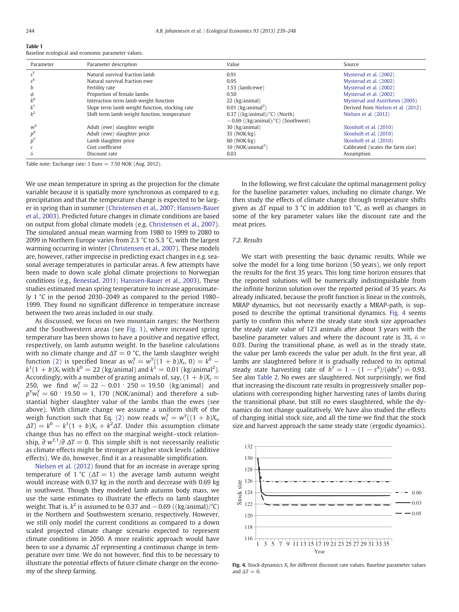<span id="page-5-0"></span>

| Table 1                                           |  |  |
|---------------------------------------------------|--|--|
| Baseline ecological and economic parameter values |  |  |

| Parameter | Parameter description                          | Value                                      | Source                             |
|-----------|------------------------------------------------|--------------------------------------------|------------------------------------|
|           | Natural survival fraction lamb                 | 0.91                                       | Mysterud et al. (2002)             |
|           | Natural survival fraction ewe                  | 0.95                                       | Mysterud et al. (2002)             |
|           | Fertility rate                                 | $1.53$ (lamb/ewe)                          | Mysterud et al. (2002)             |
|           | Proportion of female lambs                     | 0.50                                       | Mysterud et al. (2002)             |
|           | Interaction term lamb weight function          | 22 (kg/animal)                             | Mysterud and Austrheim (2005)      |
|           | Slope term lamb weight function, stocking rate | $0.01$ (kg/animal <sup>2</sup> )           | Derived from Nielsen et al. (2012) |
| $k^2$     | Shift term lamb weight function, temperature   | $0.37$ ((kg/animal)/ $^{\circ}$ C) (North) | Nielsen et al. (2012)              |
|           |                                                | $-0.69$ ((kg/animal)/°C) (Southwest)       |                                    |
| $w^x$     | Adult (ewe) slaughter weight                   | 30 (kg/animal)                             | Skonhoft et al. (2010)             |
|           | Adult (ewe) slaughter price                    | 35 (NOK/kg)                                | Skonhoft et al. (2010)             |
|           | Lamb slaughter price                           | 60 (NOK/kg)                                | Skonhoft et al. (2010)             |
|           | Cost coefficient                               | $10$ (NOK/animal <sup>2</sup> )            | Calibrated (scales the farm size)  |
|           | Discount rate                                  | 0.03                                       | Assumption                         |

Table note: Exchange rate: 1 Euro  $= 7.50$  NOK (Aug. 2012).

We use mean temperature in spring as the projection for the climate variable because it is spatially more synchronous as compared to e.g. precipitation and that the temperature change is expected to be larger in spring than in summer ([Christensen et al., 2007; Hanssen-Bauer](#page-9-0) [et al., 2003](#page-9-0)). Predicted future changes in climate conditions are based on output from global climate models (e.g. [Christensen et al., 2007](#page-9-0)). The simulated annual mean warming from 1980 to 1999 to 2080 to 2099 in Northern Europe varies from 2.3 °C to 5.3 °C, with the largest warming occurring in winter ([Christensen et al., 2007](#page-9-0)). These models are, however, rather imprecise in predicting exact changes in e.g. seasonal average temperatures in particular areas. A few attempts have been made to down scale global climate projections to Norwegian conditions (e.g., [Benestad, 2011; Hanssen-Bauer et al., 2003\)](#page-9-0). These studies estimated mean spring temperature to increase approximately 1 °C in the period 2030–2049 as compared to the period 1980– 1999. They found no significant difference in temperature increase between the two areas included in our study.

As discussed, we focus on two mountain ranges; the Northern and the Southwestern areas (see [Fig. 1\)](#page-1-0), where increased spring temperature has been shown to have a positive and negative effect, respectively, on lamb autumn weight. In the baseline calculations with no climate change and  $\Delta T = 0$  °C, the lamb slaughter weight function [\(2\)](#page-3-0) is specified linear as  $w_t^Y = w^Y((1 + b)X_t, 0) = k^0$  $k^1(1 + b)X_t$  with  $k^0 = 22$  (kg/animal) and  $k^1 = 0.01$  (kg/animal<sup>2</sup>). Accordingly, with a number of grazing animals of, say,  $(1 + b)X_t =$ 250, we find  $w_t^Y = 22 - 0.01 \cdot 250 = 19.50$  (kg/animal) and  $p^Yw_t^Y = 60 \cdot 19.50 = 1$ , 170 (NOK/animal) and therefore a substantial higher slaughter value of the lambs than the ewes (see above). With climate change we assume a uniform shift of the weigh function such that Eq. [\(2\)](#page-3-0) now reads  $w_t^Y = w^Y((1 + b)X_t,$  $\Delta T$ ) =  $k^0 - k^1(1 + b)X_t + k^2\Delta T$ . Under this assumption climate change thus has no effect on the marginal weight–stock relationship,  $\partial w^{Y,1}/\partial \Delta T = 0$ . This simple shift is not necessarily realistic as climate effects might be stronger at higher stock levels (additive effects). We do, however, find it as a reasonable simplification.

[Nielsen et al. \(2012\)](#page-9-0) found that for an increase in average spring temperature of 1 °C ( $\Delta T = 1$ ) the average lamb autumn weight would increase with 0.37 kg in the north and decrease with 0.69 kg in southwest. Though they modeled lamb autumn body mass, we use the same estimates to illustrate the effects on lamb slaughter weight. That is,  $k^2$  is assumed to be 0.37 and  $-0.69$  ((kg/animal)/°C) in the Northern and Southwestern scenario, respectively. However, we still only model the current conditions as compared to a down scaled projected climate change scenario expected to represent climate conditions in 2050. A more realistic approach would have been to use a dynamic  $\Delta T$  representing a continuous change in temperature over time. We do not however, find this to be necessary to illustrate the potential effects of future climate change on the economy of the sheep farming.

In the following, we first calculate the optimal management policy for the baseline parameter values, including no climate change. We then study the effects of climate change through temperature shifts given as  $\Delta T$  equal to 3 °C in addition to1 °C, as well as changes in some of the key parameter values like the discount rate and the meat prices.

#### 7.2. Results

We start with presenting the basic dynamic results. While we solve the model for a long time horizon (50 years), we only report the results for the first 35 years. This long time horizon ensures that the reported solutions will be numerically indistinguishable from the infinite horizon solution over the reported period of 35 years. As already indicated, because the profit function is linear in the controls, MRAP dynamics, but not necessarily exactly a MRAP-path, is supposed to describe the optimal transitional dynamics. Fig. 4 seems partly to confirm this where the steady state stock size approaches the steady state value of 123 animals after about 3 years with the baseline parameter values and where the discount rate is 3%,  $\delta =$ 0.03. During the transitional phase, as well as in the steady state, the value per lamb exceeds the value per adult. In the first year, all lambs are slaughtered before it is gradually reduced to its optimal steady state harvesting rate of  $h^Y = 1 - (1 - s^X) / (\psi b s^Y) = 0.93$ . See also [Table 2.](#page-6-0) No ewes are slaughtered. Not surprisingly, we find that increasing the discount rate results in progressively smaller populations with corresponding higher harvesting rates of lambs during the transitional phase, but still no ewes slaughtered, while the dynamics do not change qualitatively. We have also studied the effects of changing initial stock size, and all the time we find that the stock size and harvest approach the same steady state (ergodic dynamics).



Fig. 4. Stock dynamics  $X_t$  for different discount rate values. Baseline parameter values and  $\Delta T = 0$ .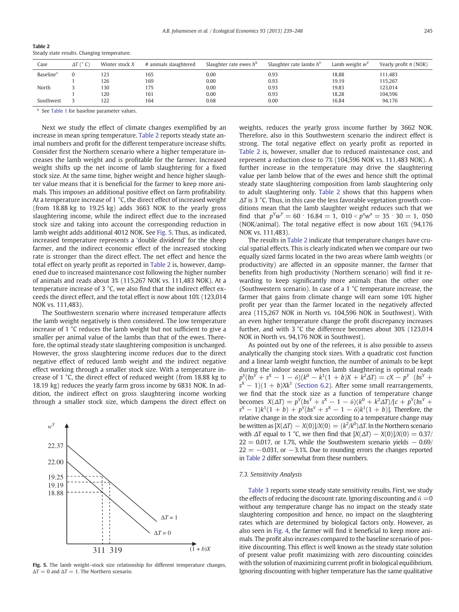<span id="page-6-0"></span>

| Table 2 |  |                                             |
|---------|--|---------------------------------------------|
|         |  | Steady state results. Changing temperature. |

| Case                         | $\Delta T$ ( $\degree$ | Winter stock X | # animals slaughtered | Slaughter rate ewes $h^X$ | Slaughter rate lambs $h^Y$ | Lamb weight $wY$ | Yearly profit $\pi$ (NOK) |
|------------------------------|------------------------|----------------|-----------------------|---------------------------|----------------------------|------------------|---------------------------|
| <b>Baseline</b> <sup>a</sup> |                        | 123            | 165                   | 0.00                      | 0.93                       | 18.88            | 111,483                   |
|                              |                        | 126            | 169                   | 0.00                      | 0.93                       | 19.19            | 115,267                   |
| North                        |                        | 130            | 175                   | 0.00                      | 0.93                       | 19.83            | 123,014                   |
|                              |                        | 120            | 161                   | 0.00                      | 0.93                       | 18.28            | 104,596                   |
| Southwest                    |                        | 122            | 164                   | 0.68                      | 0.00                       | 16.84            | 94,176                    |

<sup>a</sup> See [Table 1](#page-5-0) for baseline parameter values.

Next we study the effect of climate changes exemplified by an increase in mean spring temperature. Table 2 reports steady state animal numbers and profit for the different temperature increase shifts. Consider first the Northern scenario where a higher temperature increases the lamb weight and is profitable for the farmer. Increased weight shifts up the net income of lamb slaughtering for a fixed stock size. At the same time, higher weight and hence higher slaughter value means that it is beneficial for the farmer to keep more animals. This imposes an additional positive effect on farm profitability. At a temperature increase of 1 °C, the direct effect of increased weight (from 18.88 kg to 19.25 kg) adds 3663 NOK to the yearly gross slaughtering income, while the indirect effect due to the increased stock size and taking into account the corresponding reduction in lamb weight adds additional 4012 NOK. See Fig. 5. Thus, as indicated, increased temperature represents a 'double dividend' for the sheep farmer, and the indirect economic effect of the increased stocking rate is stronger than the direct effect. The net effect and hence the total effect on yearly profit as reported in Table 2 is, however, dampened due to increased maintenance cost following the higher number of animals and reads about 3% (115,267 NOK vs. 111,483 NOK). At a temperature increase of 3 °C, we also find that the indirect effect exceeds the direct effect, and the total effect is now about 10% (123,014 NOK vs. 111,483).

The Southwestern scenario where increased temperature affects the lamb weight negatively is then considered. The low temperature increase of 1 °C reduces the lamb weight but not sufficient to give a smaller per animal value of the lambs than that of the ewes. Therefore, the optimal steady state slaughtering composition is unchanged. However, the gross slaughtering income reduces due to the direct negative effect of reduced lamb weight and the indirect negative effect working through a smaller stock size. With a temperature increase of 1 °C, the direct effect of reduced weight (from 18.88 kg to 18.19 kg) reduces the yearly farm gross income by 6831 NOK. In addition, the indirect effect on gross slaughtering income working through a smaller stock size, which dampens the direct effect on



Fig. 5. The lamb weight-stock size relationship for different temperature changes,  $\Delta T = 0$  and  $\Delta T = 1$ . The Northern scenario.

weights, reduces the yearly gross income further by 3662 NOK. Therefore, also in this Southwestern scenario the indirect effect is strong. The total negative effect on yearly profit as reported in Table 2 is, however, smaller due to reduced maintenance cost, and represent a reduction close to 7% (104,596 NOK vs. 111,483 NOK). A further increase in the temperature may drive the slaughtering value per lamb below that of the ewes and hence shift the optimal steady state slaughtering composition from lamb slaughtering only to adult slaughtering only. Table 2 shows that this happens when  $\Delta T$  is 3 °C. Thus, in this case the less favorable vegetation growth conditions mean that the lamb slaughter weight reduces such that we find that  $p^Y w^Y = 60 \cdot 16.84 = 1$ ,  $010 < p^x w^x = 35 \cdot 30 = 1$ , 050 (NOK/animal). The total negative effect is now about 16% (94,176 NOK vs. 111,483).

The results in Table 2 indicate that temperature changes have crucial spatial effects. This is clearly indicated when we compare our two equally sized farms located in the two areas where lamb weights (or productivity) are affected in an opposite manner, the farmer that benefits from high productivity (Northern scenario) will find it rewarding to keep significantly more animals than the other one (Southwestern scenario). In case of a 1 °C temperature increase, the farmer that gains from climate change will earn some 10% higher profit per year than the farmer located in the negatively affected area (115,267 NOK in North vs. 104,596 NOK in Southwest). With an even higher temperature change the profit discrepancy increases further, and with 3 °C the difference becomes about 30% (123,014 NOK in North vs. 94,176 NOK in Southwest).

As pointed out by one of the referees, it is also possible to assess analytically the changing stock sizes. With a quadratic cost function and a linear lamb weight function, the number of animals to be kept during the indoor season when lamb slaughtering is optimal reads  $p^{Y}(bs^{Y} + s^{X} - 1 - \delta)(k^{0} - k^{1}(1 + b)X + k^{2}\Delta T) = cX - p^{Y}$  (bs<sup>Y</sup> +  $s^X - 1$ )(1 + b)Xk<sup>1</sup> [\(Section 6.2\)](#page-4-0). After some small rearrangements, we find that the stock size as a function of temperature change becomes  $X(\Delta T) = p^{Y}(bs^{Y} + s^{X} - 1 - \delta)(k^{0} + k^{2}\Delta T)/[c + p^{Y}(bs^{Y} +$  $s^X - 1)k^1(1 + b) + p^Y(bs^Y + s^X - 1 - \delta)k^1(1 + b)$ ]. Therefore, the relative change in the stock size according to a temperature change may be written as  $[X(\Delta T) - X(0)]/X(0) = (k^2/k^0)\Delta T$ . In the Northern scenario with  $\Delta T$  equal to 1 °C, we then find that  $[X(\Delta T) - X(0)]/X(0) = 0.37/$  $22 = 0.017$ , or 1.7%, while the Southwestern scenario yields  $-0.69/$  $22 = -0.031$ , or  $-3.1\%$ . Due to rounding errors the changes reported in Table 2 differ somewhat from these numbers.

#### 7.3. Sensitivity Analysis

[Table 3](#page-7-0) reports some steady state sensitivity results. First, we study the effects of reducing the discount rate. Ignoring discounting and  $\delta = 0$ without any temperature change has no impact on the steady state slaughtering composition and hence, no impact on the slaughtering rates which are determined by biological factors only. However, as also seen in [Fig. 4,](#page-5-0) the farmer will find it beneficial to keep more animals. The profit also increases compared to the baseline scenario of positive discounting. This effect is well known as the steady state solution of present value profit maximizing with zero discounting coincides with the solution of maximizing current profit in biological equilibrium. Ignoring discounting with higher temperature has the same qualitative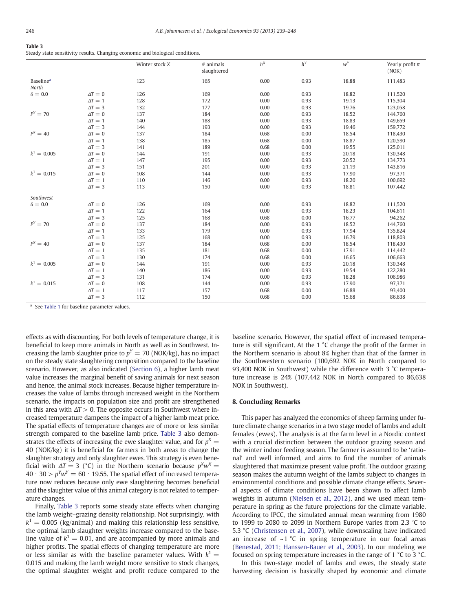#### <span id="page-7-0"></span>Table 3

Steady state sensitivity results. Changing economic and biological conditions.

|                              |                | Winter stock X | # animals<br>slaughtered | $h^X$ | $h^Y$ | $W^Y$ | Yearly profit $\pi$<br>(NOK) |
|------------------------------|----------------|----------------|--------------------------|-------|-------|-------|------------------------------|
| <b>Baseline</b> <sup>a</sup> |                | 123            | 165                      | 0.00  | 0.93  | 18.88 | 111,483                      |
| North                        |                |                |                          |       |       |       |                              |
| $\delta = 0.0$               | $\Delta T = 0$ | 126            | 169                      | 0.00  | 0.93  | 18.82 | 111,520                      |
|                              | $\Delta T = 1$ | 128            | 172                      | 0.00  | 0.93  | 19.13 | 115,304                      |
|                              | $\Delta T = 3$ | 132            | 177                      | 0.00  | 0.93  | 19.76 | 123,058                      |
| $P^{Y} = 70$                 | $\Delta T = 0$ | 137            | 184                      | 0.00  | 0.93  | 18.52 | 144,760                      |
|                              | $\Delta T = 1$ | 140            | 188                      | 0.00  | 0.93  | 18.83 | 149,659                      |
|                              | $\Delta T = 3$ | 144            | 193                      | 0.00  | 0.93  | 19.46 | 159,772                      |
| $P^{X} = 40$                 | $\Delta T = 0$ | 137            | 184                      | 0.68  | 0.00  | 18.54 | 118,430                      |
|                              | $\Delta T = 1$ | 138            | 185                      | 0.68  | 0.00  | 18.87 | 120,590                      |
|                              | $\Delta T = 3$ | 141            | 189                      | 0.68  | 0.00  | 19.55 | 125,011                      |
| $k^1 = 0.005$                | $\Delta T = 0$ | 144            | 191                      | 0.00  | 0.93  | 20.18 | 130,348                      |
|                              | $\Delta T = 1$ | 147            | 195                      | 0.00  | 0.93  | 20.52 | 134,773                      |
|                              | $\Delta T = 3$ | 151            | 201                      | 0.00  | 0.93  | 21.19 | 143,816                      |
| $k^1 = 0.015$                | $\Delta T = 0$ | 108            | 144                      | 0.00  | 0.93  | 17.90 | 97,371                       |
|                              | $\Delta T = 1$ | 110            | 146                      | 0.00  | 0.93  | 18.20 | 100,692                      |
|                              | $\Delta T = 3$ | 113            | 150                      | 0.00  | 0.93  | 18.81 | 107,442                      |
| Southwest                    |                |                |                          |       |       |       |                              |
| $\delta = 0.0$               | $\Delta T = 0$ | 126            | 169                      | 0.00  | 0.93  | 18.82 | 111,520                      |
|                              | $\Delta T = 1$ | 122            | 164                      | 0.00  | 0.93  | 18.23 | 104,611                      |
|                              | $\Delta T = 3$ | 125            | 168                      | 0.68  | 0.00  | 16.77 | 94,262                       |
| $P^{Y} = 70$                 | $\Delta T = 0$ | 137            | 184                      | 0.00  | 0.93  | 18.52 | 144,760                      |
|                              | $\Delta T = 1$ | 133            | 179                      | 0.00  | 0.93  | 17.94 | 135,824                      |
|                              | $\Delta T = 3$ | 125            | 168                      | 0.00  | 0.93  | 16.79 | 118,803                      |
| $P^{X} = 40$                 | $\Delta T = 0$ | 137            | 184                      | 0.68  | 0.00  | 18.54 | 118,430                      |
|                              | $\Delta T = 1$ | 135            | 181                      | 0.68  | 0.00  | 17.91 | 114,442                      |
|                              | $\Delta T = 3$ | 130            | 174                      | 0.68  | 0.00  | 16.65 | 106,663                      |
| $k^1 = 0.005$                | $\Delta T = 0$ | 144            | 191                      | 0.00  | 0.93  | 20.18 | 130,348                      |
|                              | $\Delta T = 1$ | 140            | 186                      | 0.00  | 0.93  | 19.54 | 122,280                      |
|                              | $\Delta T = 3$ | 131            | 174                      | 0.00  | 0.93  | 18.28 | 106,986                      |
| $k^1 = 0.015$                | $\Delta T = 0$ | 108            | 144                      | 0.00  | 0.93  | 17.90 | 97,371                       |
|                              | $\Delta T = 1$ | 117            | 157                      | 0.68  | 0.00  | 16.88 | 93,400                       |
|                              | $\Delta T = 3$ | 112            | 150                      | 0.68  | 0.00  | 15.68 | 86,638                       |

<sup>a</sup> See [Table 1](#page-5-0) for baseline parameter values.

effects as with discounting. For both levels of temperature change, it is beneficial to keep more animals in North as well as in Southwest. Increasing the lamb slaughter price to  $p<sup>Y</sup> = 70$  (NOK/kg), has no impact on the steady state slaughtering composition compared to the baseline scenario. However, as also indicated [\(Section 6\)](#page-3-0), a higher lamb meat value increases the marginal benefit of saving animals for next season and hence, the animal stock increases. Because higher temperature increases the value of lambs through increased weight in the Northern scenario, the impacts on population size and profit are strengthened in this area with  $\Delta T > 0$ . The opposite occurs in Southwest where increased temperature dampens the impact of a higher lamb meat price. The spatial effects of temperature changes are of more or less similar strength compared to the baseline lamb price. Table 3 also demonstrates the effects of increasing the ewe slaughter value, and for  $p^X =$ 40 (NOK/kg) it is beneficial for farmers in both areas to change the slaughter strategy and only slaughter ewes. This strategy is even beneficial with  $\Delta T = 3$  (°C) in the Northern scenario because  $p^{X}w^{X} =$  $40 \cdot 30 > p^{Y}w^{Y} = 60 \cdot 19.55$ . The spatial effect of increased temperature now reduces because only ewe slaughtering becomes beneficial and the slaughter value of this animal category is not related to temperature changes.

Finally, Table 3 reports some steady state effects when changing the lamb weight–grazing density relationship. Not surprisingly, with  $k<sup>1</sup> = 0.005$  (kg/animal) and making this relationship less sensitive, the optimal lamb slaughter weights increase compared to the baseline value of  $k^1 = 0.01$ , and are accompanied by more animals and higher profits. The spatial effects of changing temperature are more or less similar as with the baseline parameter values. With  $k^1 =$ 0.015 and making the lamb weight more sensitive to stock changes, the optimal slaughter weight and profit reduce compared to the baseline scenario. However, the spatial effect of increased temperature is still significant. At the 1 °C change the profit of the farmer in the Northern scenario is about 8% higher than that of the farmer in the Southwestern scenario (100,692 NOK in North compared to 93,400 NOK in Southwest) while the difference with 3 °C temperature increase is 24% (107,442 NOK in North compared to 86,638 NOK in Southwest).

#### 8. Concluding Remarks

This paper has analyzed the economics of sheep farming under future climate change scenarios in a two stage model of lambs and adult females (ewes). The analysis is at the farm level in a Nordic context with a crucial distinction between the outdoor grazing season and the winter indoor feeding season. The farmer is assumed to be 'rational' and well informed, and aims to find the number of animals slaughtered that maximize present value profit. The outdoor grazing season makes the autumn weight of the lambs subject to changes in environmental conditions and possible climate change effects. Several aspects of climate conditions have been shown to affect lamb weights in autumn [\(Nielsen et al., 2012\)](#page-9-0), and we used mean temperature in spring as the future projections for the climate variable. According to IPCC, the simulated annual mean warming from 1980 to 1999 to 2080 to 2099 in Northern Europe varies from 2.3 °C to 5.3 °C ([Christensen et al., 2007\)](#page-9-0), while downscaling have indicated an increase of  $\sim$ 1 °C in spring temperature in our focal areas [\(Benestad, 2011; Hanssen-Bauer et al., 2003\)](#page-9-0). In our modeling we focused on spring temperature increases in the range of 1 °C to 3 °C.

In this two-stage model of lambs and ewes, the steady state harvesting decision is basically shaped by economic and climate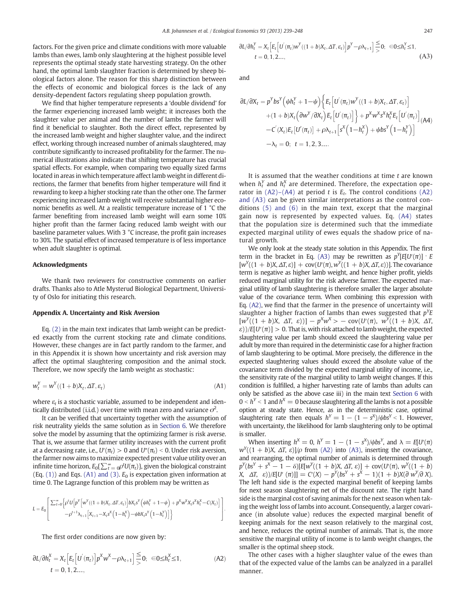<span id="page-8-0"></span>factors. For the given price and climate conditions with more valuable lambs than ewes, lamb only slaughtering at the highest possible level represents the optimal steady state harvesting strategy. On the other hand, the optimal lamb slaughter fraction is determined by sheep biological factors alone. The reason for this sharp distinction between the effects of economic and biological forces is the lack of any density-dependent factors regulating sheep population growth.

We find that higher temperature represents a 'double dividend' for the farmer experiencing increased lamb weight; it increases both the slaughter value per animal and the number of lambs the farmer will find it beneficial to slaughter. Both the direct effect, represented by the increased lamb weight and higher slaughter value, and the indirect effect, working through increased number of animals slaughtered, may contribute significantly to increased profitability for the farmer. The numerical illustrations also indicate that shifting temperature has crucial spatial effects. For example, when comparing two equally sized farms located in areas in which temperature affect lamb weight in different directions, the farmer that benefits from higher temperature will find it rewarding to keep a higher stocking rate than the other one. The farmer experiencing increased lamb weight will receive substantial higher economic benefits as well. At a realistic temperature increase of 1 °C the farmer benefiting from increased lamb weight will earn some 10% higher profit than the farmer facing reduced lamb weight with our baseline parameter values. With 3 °C increase, the profit gain increases to 30%. The spatial effect of increased temperature is of less importance when adult slaughter is optimal.

#### Acknowledgments

We thank two reviewers for constructive comments on earlier drafts. Thanks also to Atle Mysterud Biological Department, University of Oslo for initiating this research.

#### Appendix A. Uncertainty and Risk Aversion

Eq. [\(2\)](#page-3-0) in the main text indicates that lamb weight can be predicted exactly from the current stocking rate and climate conditions. However, these changes are in fact partly random to the farmer, and in this Appendix it is shown how uncertainty and risk aversion may affect the optimal slaughtering composition and the animal stock. Therefore, we now specify the lamb weight as stochastic:

$$
w_t^Y = w^Y((1+b)X_t, \Delta T, \varepsilon_t)
$$
\n(A1)

where  $\varepsilon_t$  is a stochastic variable, assumed to be independent and identically distributed (i.i.d.) over time with mean zero and variance  $\sigma^2$ .

It can be verified that uncertainty together with the assumption of risk neutrality yields the same solution as in [Section 6.](#page-3-0) We therefore solve the model by assuming that the optimizing farmer is risk averse. That is, we assume that farmer utility increases with the current profit at a decreasing rate, i.e.,  $U'(\pi_t) > 0$  and  $U''(\pi_t) < 0$ . Under risk aversion, the farmer now aims to maximize expected present value utility over an infinite time horizon,  $E_0(\sum_{t=0}^{\infty}\!\!\rho^tU(\pi_t)),$  given the biological constraint (Eq.  $(1)$ ) and Eqs.  $(A1)$  and  $(3)$ .  $E_0$  is expectation given information at time 0. The Lagrange function of this problem may be written as

$$
L = E_0 \left[ \frac{\sum_{t=0}^{\infty} \left\{ \rho^t U \left[ p^V \left[ w^V((1+b)X_t, \Delta T, \varepsilon_t) \right] \right. bX_t s^V \left( \psi h_t^V + 1 - \psi \right) + p^X w^X X_t s^X h_t^X - C(X_t) \right]}{-\rho^{t+1} \lambda_{t+1} \left[ X_{t+1} - X_t s^X \left( 1 - h_t^X \right) - \psi bX_t s^V \left( 1 - h_t^Y \right) \right] \right\}.
$$

The first order conditions are now given by:

$$
\frac{\partial L}{\partial h_t^X} = X_t \Big[ E_t \Big[ U'(\pi_t) \Big] p^X w^X - \rho \lambda_{t+1} \Big] \frac{\le}{>} 0; \ \ \in 0 \le h_t^X \le 1, \tag{A2}
$$
\n
$$
t = 0, 1, 2, \dots,
$$

$$
\frac{\partial L}{\partial h_t^Y} = X_t \Big[ E_t \Big[ U'(\pi_t) w^Y((1+b)X_t, \Delta T, \varepsilon_t) \Big] p^Y - \rho \lambda_{t+1} \Big] \frac{\le}{>} 0; \ \ \in 0 \le h_t^Y \le 1, t = 0, 1, 2..., \tag{A3}
$$

and

$$
\partial L/\partial X_t = p^Y b s^Y \left( \psi h_t^Y + 1 - \psi \right) \left\{ E_t \left[ U'(\pi_t) w^Y((1+b)X_t, \Delta T, \varepsilon_t) \right] + (1+b) X_t \left( \partial w^Y / \partial X_t \right) E_t \left[ U'(\pi_t) \right] \right\} + p^X w^X s^X h_t^X E_t \left[ U'(\pi_t) \right]_{(AA)} - C'(X_t) E_t \left[ U'(\pi_t) \right] + \rho \lambda_{t+1} \left[ s^X \left( 1 - h_t^X \right) + \psi b s^Y \left( 1 - h_t^Y \right) \right] - \lambda_t = 0; \quad t = 1, 2, 3, ...
$$

It is assumed that the weather conditions at time t are known when  $h_t^Y$  and  $h_t^X$  are determined. Therefore, the expectation operator in  $(A2)$ – $(A4)$  at period t is  $E_t$ . The control conditions  $(A2)$ and (A3) can be given similar interpretations as the control conditions [\(5\) and \(6\)](#page-3-0) in the main text, except that the marginal gain now is represented by expected values. Eq. (A4) states that the population size is determined such that the immediate expected marginal utility of ewes equals the shadow price of natural growth.

We only look at the steady state solution in this Appendix. The first term in the bracket in Eq. (A3) may be rewritten as  $p^{Y}[E[U(\pi)] \cdot E$  $[w<sup>Y</sup>((1 + b)X, \Delta T, \varepsilon)] + cov(U'(\pi), w<sup>Y</sup>((1 + b)X, \Delta T, \varepsilon))$ . The covariance term is negative as higher lamb weight, and hence higher profit, yields reduced marginal utility for the risk adverse farmer. The expected marginal utility of lamb slaughtering is therefore smaller the larger absolute value of the covariance term. When combining this expression with Eq. (A2), we find that the farmer in the presence of uncertainty will slaughter a higher fraction of lambs than ewes suggested that  $p<sup>Y</sup>E$  $[w^{Y}((1 + b)X, \Delta T, \varepsilon))] - p^{X}w^{X} > -\text{cov}(U'(\pi), w^{Y}((1 + b)X, \Delta T,$  $\varepsilon$ ))/E[U'( $\pi$ )] > 0. That is, with risk attached to lamb weight, the expected slaughtering value per lamb should exceed the slaughtering value per adult by more than required in the deterministic case for a higher fraction of lamb slaughtering to be optimal. More precisely, the difference in the expected slaughtering values should exceed the absolute value of the covariance term divided by the expected marginal utility of income, i.e., the sensitivity rate of the marginal utility to lamb weight changes. If this condition is fulfilled, a higher harvesting rate of lambs than adults can only be satisfied as the above case iii) in the main text [Section 6](#page-3-0) with  $0 < h<sup>Y</sup> < 1$  and  $h<sup>X</sup> = 0$  because slaughtering all the lambs is not a possible option at steady state. Hence, as in the deterministic case, optimal slaughtering rate then equals  $h^{Y} = 1 - (1 - s^{X})/4b^{Y} < 1$ . However, with uncertainty, the likelihood for lamb slaughtering only to be optimal is smaller.

When inserting  $h^X = 0$ ,  $h^Y = 1 - (1 - s^X)/\psi$ bs<sup>Y</sup>, and  $\lambda = E[U(\pi)]$  $w^{Y}((1 + b)X, \Delta T, \varepsilon)/\rho$  from (A2) into (A3), inserting the covariance, and rearranging, the optimal number of animals is determined through  $p^{Y}(bs^{Y} + s^{X} - 1 - \delta)[E[w^{Y}((1 + b)X, \Delta T, \varepsilon)] + cov(U'(\pi), w^{Y}((1 + b))$ X, ΔT, ε))/E[U' (π)]] = C'(X) – p<sup>Y</sup>(bs<sup>Y</sup> + s<sup>X</sup> – 1)(1 + b)X(∂ w<sup>Y</sup>/∂ X). The left hand side is the expected marginal benefit of keeping lambs for next season slaughtering net of the discount rate. The right hand side is the marginal cost of saving animals for the next season when taking the weight loss of lambs into account. Consequently, a larger covariance (in absolute value) reduces the expected marginal benefit of keeping animals for the next season relatively to the marginal cost, and hence, reduces the optimal number of animals. That is, the more sensitive the marginal utility of income is to lamb weight changes, the smaller is the optimal sheep stock.

The other cases with a higher slaughter value of the ewes than that of the expected value of the lambs can be analyzed in a parallel manner.